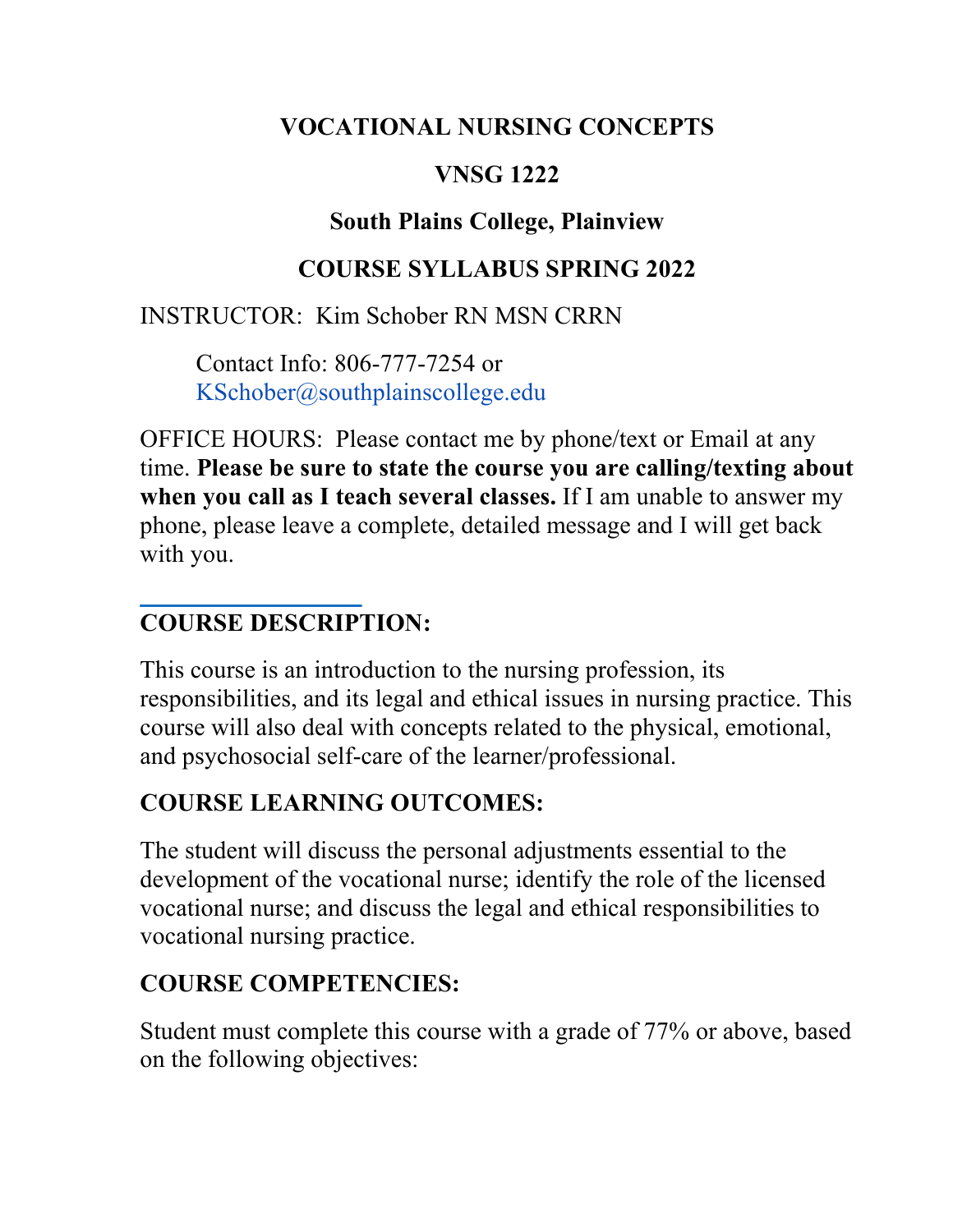#### **VOCATIONAL NURSING CONCEPTS**

## **VNSG 1222**

## **South Plains College, Plainview**

## **COURSE SYLLABUS SPRING 2022**

## INSTRUCTOR: Kim Schober RN MSN CRRN

Contact Info: 806-777-7254 or KSchober@southplainscollege.edu

OFFICE HOURS: Please contact me by phone/text or Email at any time. **Please be sure to state the course you are calling/texting about when you call as I teach several classes.** If I am unable to answer my phone, please leave a complete, detailed message and I will get back with you.

# **COURSE DESCRIPTION:**

This course is an introduction to the nursing profession, its responsibilities, and its legal and ethical issues in nursing practice. This course will also deal with concepts related to the physical, emotional, and psychosocial self-care of the learner/professional.

# **COURSE LEARNING OUTCOMES:**

The student will discuss the personal adjustments essential to the development of the vocational nurse; identify the role of the licensed vocational nurse; and discuss the legal and ethical responsibilities to vocational nursing practice.

# **COURSE COMPETENCIES:**

Student must complete this course with a grade of 77% or above, based on the following objectives: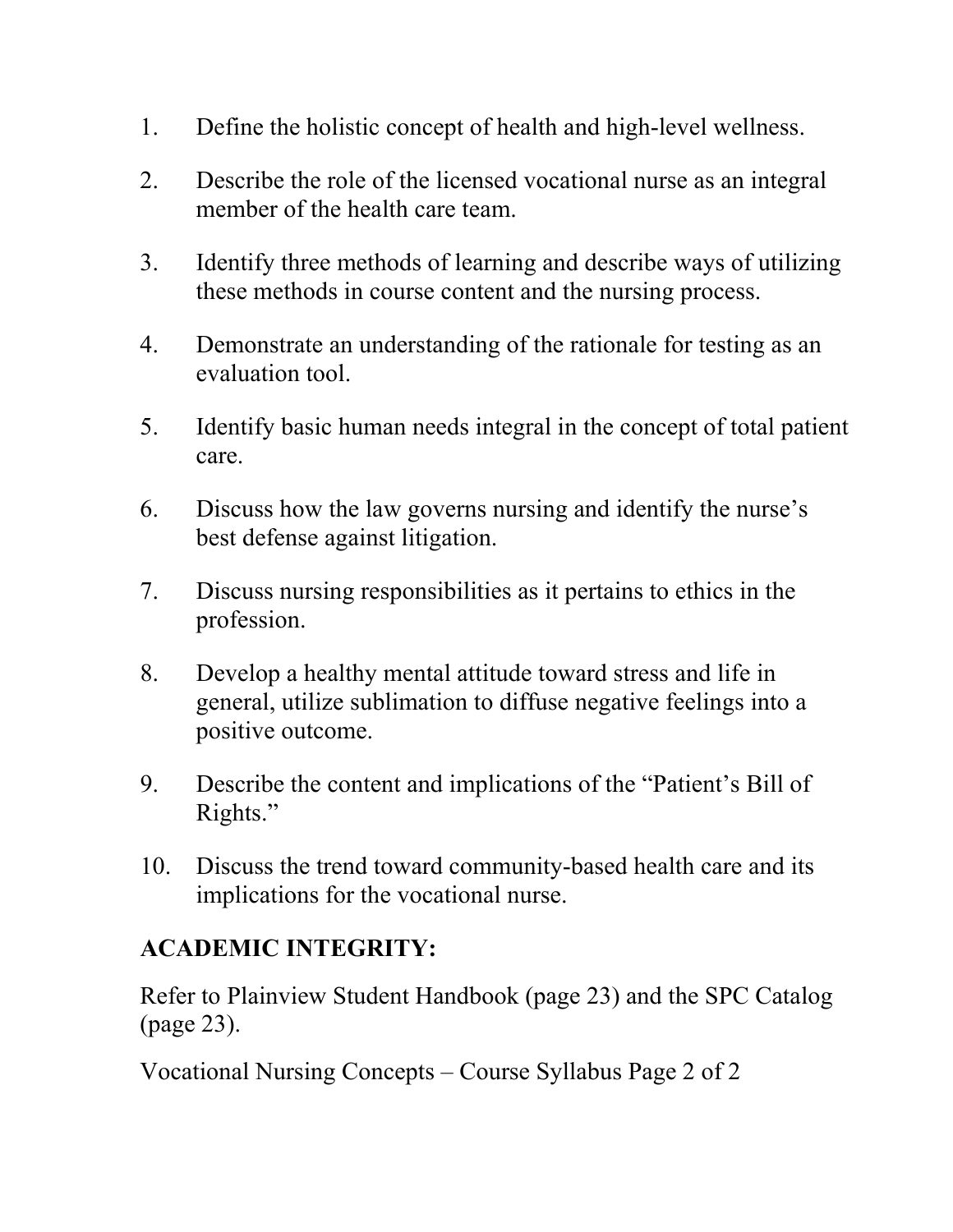- 1. Define the holistic concept of health and high-level wellness.
- 2. Describe the role of the licensed vocational nurse as an integral member of the health care team.
- 3. Identify three methods of learning and describe ways of utilizing these methods in course content and the nursing process.
- 4. Demonstrate an understanding of the rationale for testing as an evaluation tool.
- 5. Identify basic human needs integral in the concept of total patient care.
- 6. Discuss how the law governs nursing and identify the nurse's best defense against litigation.
- 7. Discuss nursing responsibilities as it pertains to ethics in the profession.
- 8. Develop a healthy mental attitude toward stress and life in general, utilize sublimation to diffuse negative feelings into a positive outcome.
- 9. Describe the content and implications of the "Patient's Bill of Rights."
- 10. Discuss the trend toward community-based health care and its implications for the vocational nurse.

## **ACADEMIC INTEGRITY:**

Refer to Plainview Student Handbook (page 23) and the SPC Catalog (page 23).

Vocational Nursing Concepts – Course Syllabus Page 2 of 2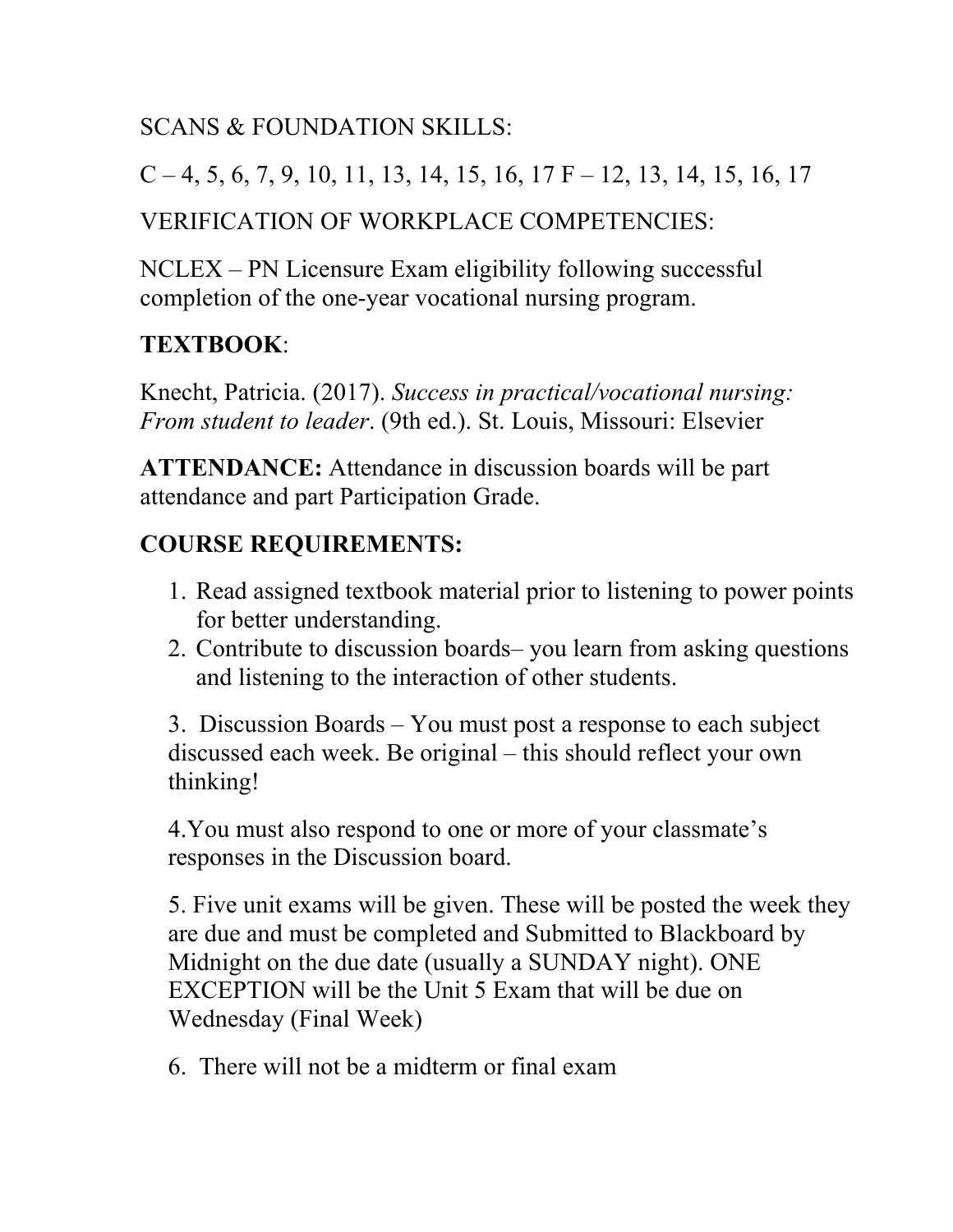## SCANS & FOUNDATION SKILLS:

```
C - 4, 5, 6, 7, 9, 10, 11, 13, 14, 15, 16, 17 F - 12, 13, 14, 15, 16, 17
```
### VERIFICATION OF WORKPLACE COMPETENCIES:

NCLEX – PN Licensure Exam eligibility following successful completion of the one-year vocational nursing program.

# **TEXTBOOK**:

Knecht, Patricia. (2017). *Success in practical/vocational nursing: From student to leader*. (9th ed.). St. Louis, Missouri: Elsevier

**ATTENDANCE:** Attendance in discussion boards will be part attendance and part Participation Grade.

## **COURSE REQUIREMENTS:**

- 1. Read assigned textbook material prior to listening to power points for better understanding.
- 2. Contribute to discussion boards– you learn from asking questions and listening to the interaction of other students.

3. Discussion Boards – You must post a response to each subject discussed each week. Be original – this should reflect your own thinking!

4.You must also respond to one or more of your classmate's responses in the Discussion board.

5. Five unit exams will be given. These will be posted the week they are due and must be completed and Submitted to Blackboard by Midnight on the due date (usually a SUNDAY night). ONE EXCEPTION will be the Unit 5 Exam that will be due on Wednesday (Final Week)

6. There will not be a midterm or final exam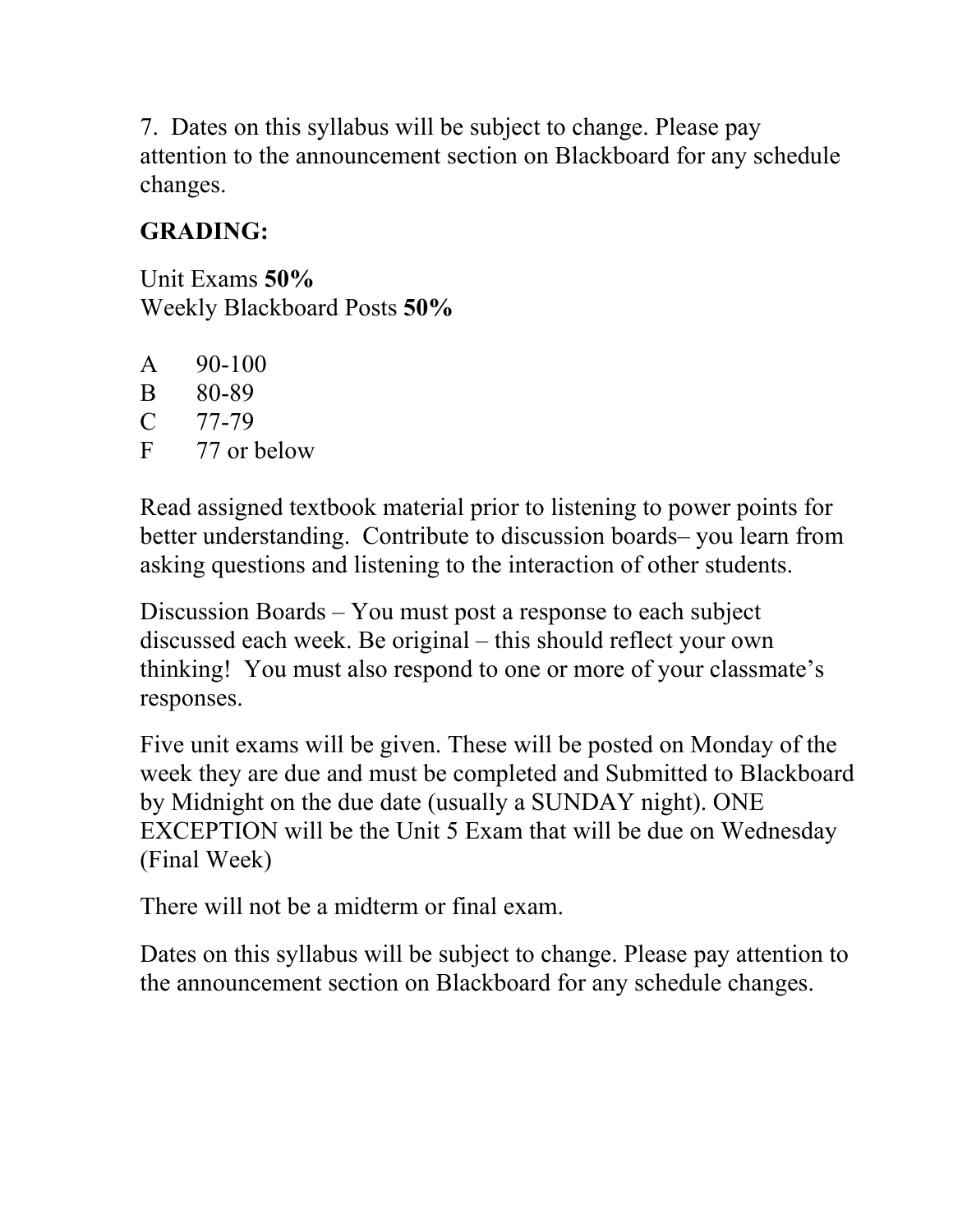7. Dates on this syllabus will be subject to change. Please pay attention to the announcement section on Blackboard for any schedule changes.

# **GRADING:**

Unit Exams **50%** Weekly Blackboard Posts **50%**

 $A = 90-100$ B 80-89 C 77-79 F 77 or below

Read assigned textbook material prior to listening to power points for better understanding. Contribute to discussion boards– you learn from asking questions and listening to the interaction of other students.

Discussion Boards – You must post a response to each subject discussed each week. Be original – this should reflect your own thinking! You must also respond to one or more of your classmate's responses.

Five unit exams will be given. These will be posted on Monday of the week they are due and must be completed and Submitted to Blackboard by Midnight on the due date (usually a SUNDAY night). ONE EXCEPTION will be the Unit 5 Exam that will be due on Wednesday (Final Week)

There will not be a midterm or final exam.

Dates on this syllabus will be subject to change. Please pay attention to the announcement section on Blackboard for any schedule changes.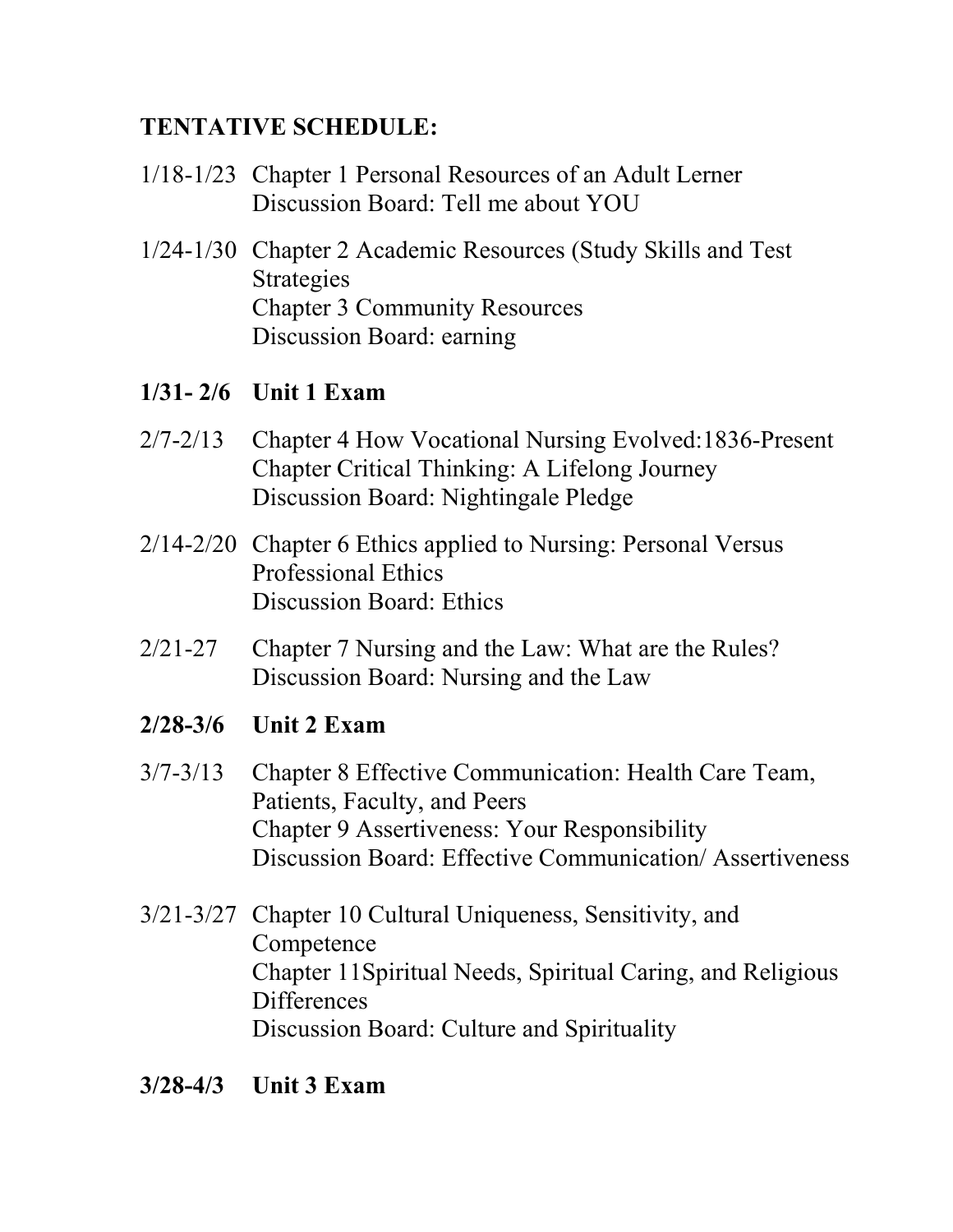### **TENTATIVE SCHEDULE:**

- 1/18-1/23 Chapter 1 Personal Resources of an Adult Lerner Discussion Board: Tell me about YOU
- 1/24-1/30 Chapter 2 Academic Resources (Study Skills and Test Strategies Chapter 3 Community Resources Discussion Board: earning

#### **1/31- 2/6 Unit 1 Exam**

- 2/7-2/13 Chapter 4 How Vocational Nursing Evolved:1836-Present Chapter Critical Thinking: A Lifelong Journey Discussion Board: Nightingale Pledge
- 2/14-2/20 Chapter 6 Ethics applied to Nursing: Personal Versus Professional Ethics Discussion Board: Ethics
- 2/21-27 Chapter 7 Nursing and the Law: What are the Rules? Discussion Board: Nursing and the Law
- **2/28-3/6 Unit 2 Exam**
- 3/7-3/13 Chapter 8 Effective Communication: Health Care Team, Patients, Faculty, and Peers Chapter 9 Assertiveness: Your Responsibility Discussion Board: Effective Communication/ Assertiveness
- 3/21-3/27 Chapter 10 Cultural Uniqueness, Sensitivity, and **Competence** Chapter 11Spiritual Needs, Spiritual Caring, and Religious **Differences** Discussion Board: Culture and Spirituality
- **3/28-4/3 Unit 3 Exam**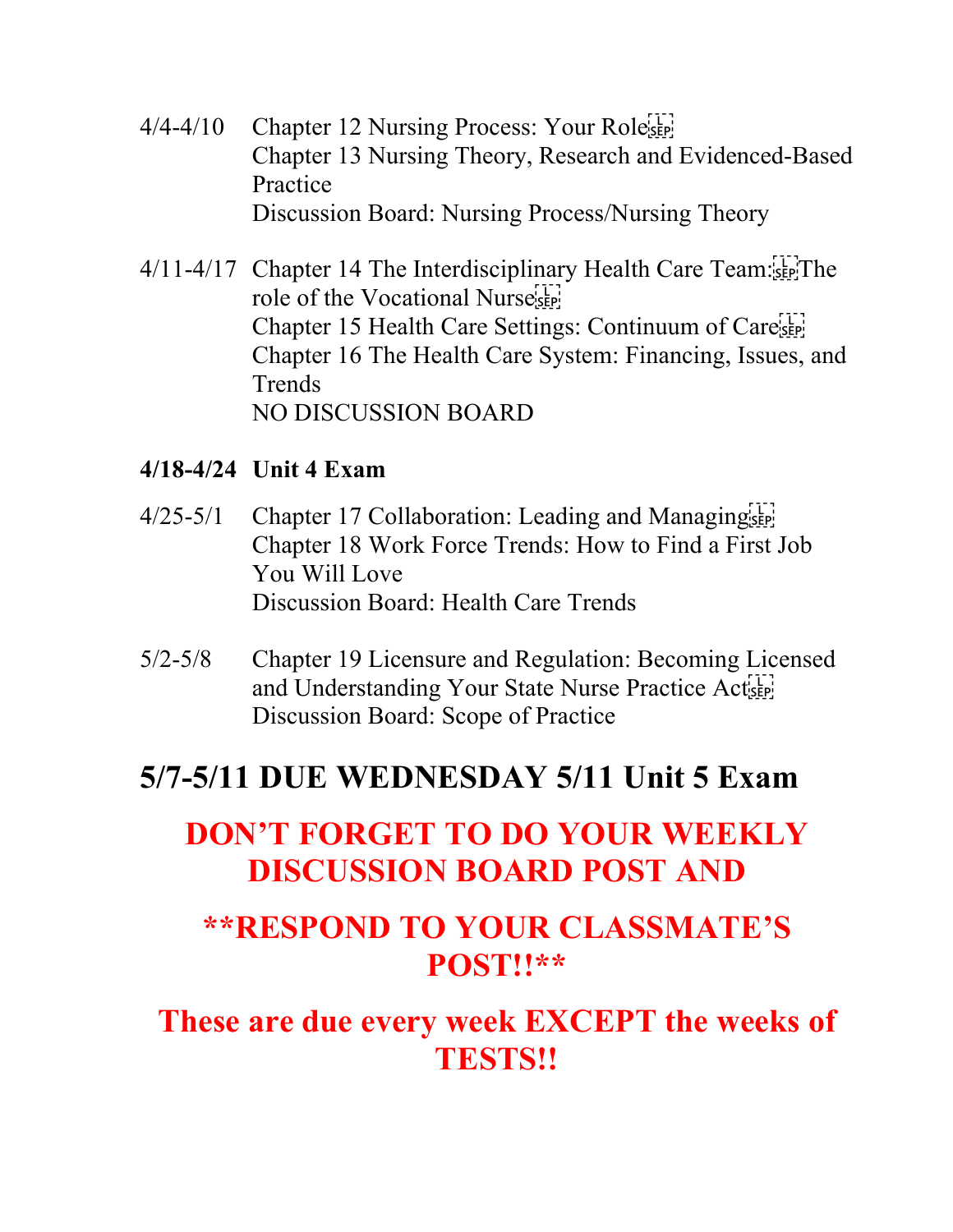- $4/4-4/10$  Chapter 12 Nursing Process: Your Roleser Chapter 13 Nursing Theory, Research and Evidenced-Based Practice Discussion Board: Nursing Process/Nursing Theory
- 4/11-4/17 Chapter 14 The Interdisciplinary Health Care Team: role of the Vocational Nursester! Chapter 15 Health Care Settings: Continuum of Care Chapter 16 The Health Care System: Financing, Issues, and Trends NO DISCUSSION BOARD

#### **4/18-4/24 Unit 4 Exam**

- $4/25-5/1$  Chapter 17 Collaboration: Leading and Managing  $\frac{1}{10}$ Chapter 18 Work Force Trends: How to Find a First Job You Will Love Discussion Board: Health Care Trends
- 5/2-5/8 Chapter 19 Licensure and Regulation: Becoming Licensed and Understanding Your State Nurse Practice Actual Discussion Board: Scope of Practice

# **5/7-5/11 DUE WEDNESDAY 5/11 Unit 5 Exam**

# **DON'T FORGET TO DO YOUR WEEKLY DISCUSSION BOARD POST AND**

# **\*\*RESPOND TO YOUR CLASSMATE'S POST!!\*\***

# **These are due every week EXCEPT the weeks of TESTS!!**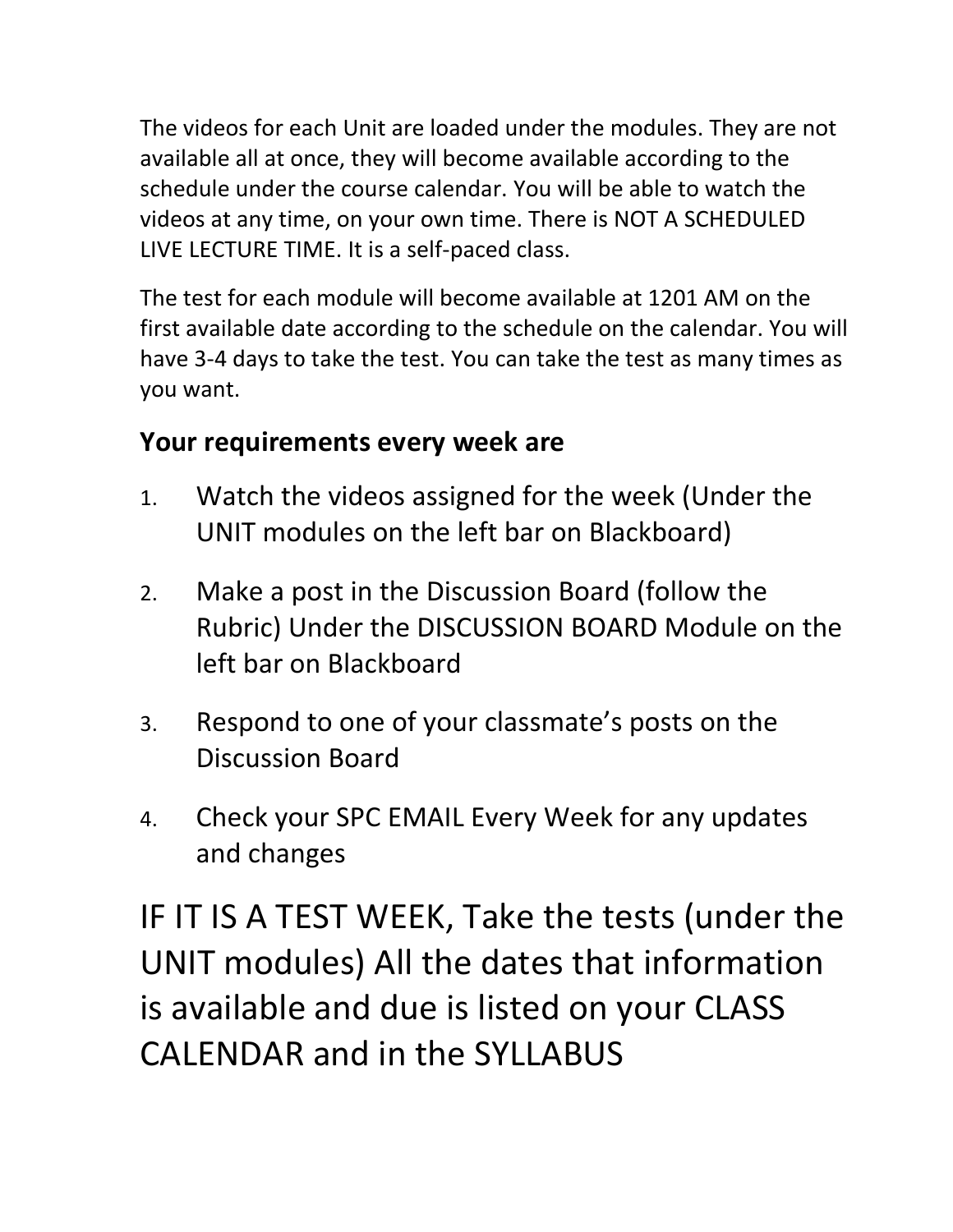The videos for each Unit are loaded under the modules. They are not available all at once, they will become available according to the schedule under the course calendar. You will be able to watch the videos at any time, on your own time. There is NOT A SCHEDULED LIVE LECTURE TIME. It is a self-paced class.

The test for each module will become available at 1201 AM on the first available date according to the schedule on the calendar. You will have 3-4 days to take the test. You can take the test as many times as you want.

# **Your requirements every week are**

- 1. Watch the videos assigned for the week (Under the UNIT modules on the left bar on Blackboard)
- 2. Make a post in the Discussion Board (follow the Rubric) Under the DISCUSSION BOARD Module on the left bar on Blackboard
- 3. Respond to one of your classmate's posts on the Discussion Board
- 4. Check your SPC EMAIL Every Week for any updates and changes

IF IT IS A TEST WEEK, Take the tests (under the UNIT modules) All the dates that information is available and due is listed on your CLASS CALENDAR and in the SYLLABUS